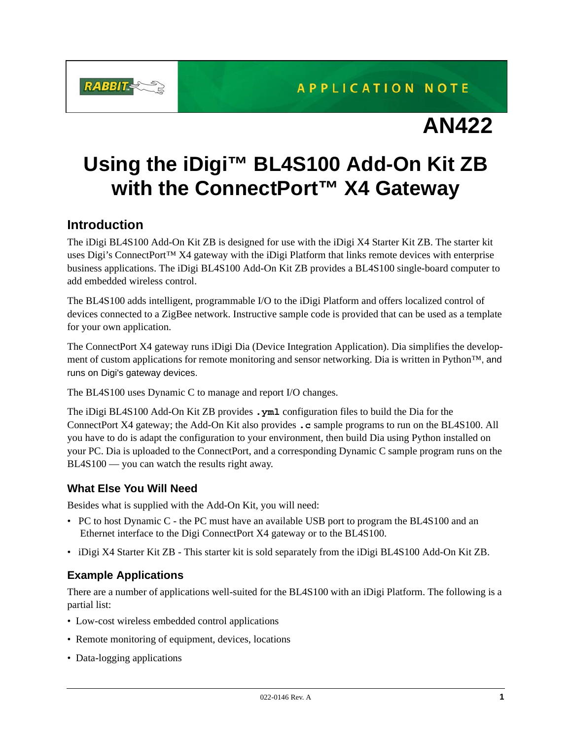

# **AN422**

# **Using the iDigi™ BL4S100 Add-On Kit ZB with the ConnectPort™ X4 Gateway**

# **Introduction**

The iDigi BL4S100 Add-On Kit ZB is designed for use with the iDigi X4 Starter Kit ZB. The starter kit uses Digi's ConnectPort™ X4 gateway with the iDigi Platform that links remote devices with enterprise business applications. The iDigi BL4S100 Add-On Kit ZB provides a BL4S100 single-board computer to add embedded wireless control.

The BL4S100 adds intelligent, programmable I/O to the iDigi Platform and offers localized control of devices connected to a ZigBee network. Instructive sample code is provided that can be used as a template for your own application.

The ConnectPort X4 gateway runs iDigi Dia (Device Integration Application). Dia simplifies the development of custom applications for remote monitoring and sensor networking. Dia is written in Python™, and runs on Digi's gateway devices.

The BL4S100 uses Dynamic C to manage and report I/O changes.

The iDigi BL4S100 Add-On Kit ZB provides **.yml** configuration files to build the Dia for the ConnectPort X4 gateway; the Add-On Kit also provides **.c** sample programs to run on the BL4S100. All you have to do is adapt the configuration to your environment, then build Dia using Python installed on your PC. Dia is uploaded to the ConnectPort, and a corresponding Dynamic C sample program runs on the BL4S100 — you can watch the results right away.

# **What Else You Will Need**

Besides what is supplied with the Add-On Kit, you will need:

- PC to host Dynamic C the PC must have an available USB port to program the BL4S100 and an Ethernet interface to the Digi ConnectPort X4 gateway or to the BL4S100.
- iDigi X4 Starter Kit ZB This starter kit is sold separately from the iDigi BL4S100 Add-On Kit ZB.

## **Example Applications**

There are a number of applications well-suited for the BL4S100 with an iDigi Platform. The following is a partial list:

- Low-cost wireless embedded control applications
- Remote monitoring of equipment, devices, locations
- Data-logging applications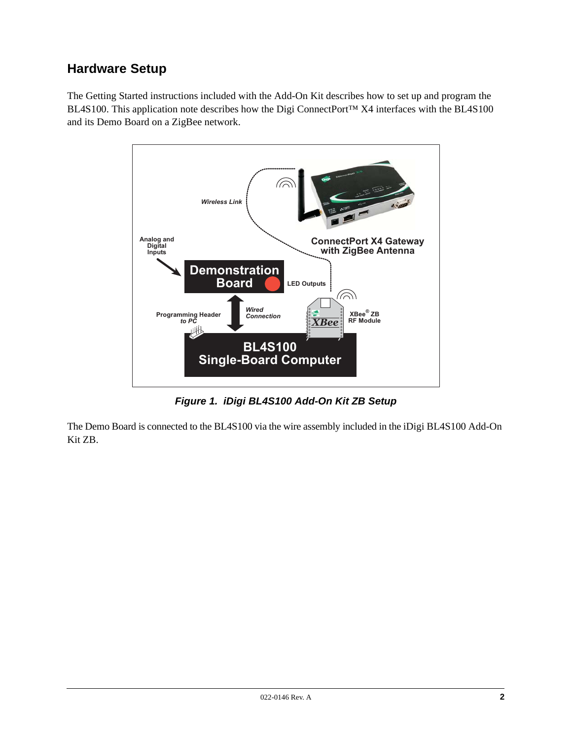# **Hardware Setup**

The Getting Started instructions included with the Add-On Kit describes how to set up and program the BL4S100. This application note describes how the Digi ConnectPort™ X4 interfaces with the BL4S100 and its Demo Board on a ZigBee network.



*Figure 1. iDigi BL4S100 Add-On Kit ZB Setup*

The Demo Board is connected to the BL4S100 via the wire assembly included in the iDigi BL4S100 Add-On Kit ZB.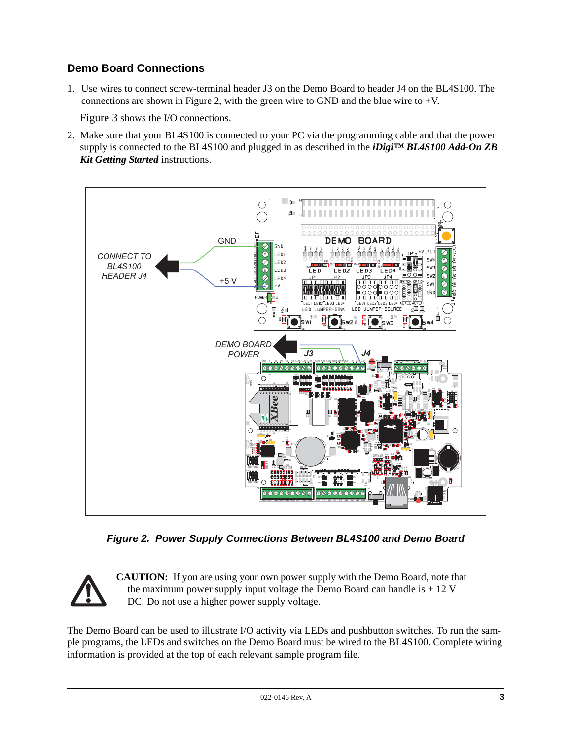# **Demo Board Connections**

1. Use wires to connect screw-terminal header J3 on the Demo Board to header J4 on the BL4S100. The connections are shown in [Figure 2,](#page-2-0) with the green wire to GND and the blue wire to  $+V$ .

[Figure 3](#page-3-0) shows the I/O connections.

2. Make sure that your BL4S100 is connected to your PC via the programming cable and that the power supply is connected to the BL4S100 and plugged in as described in the *iDigi™ BL4S100 Add-On ZB Kit Getting Started* instructions.



*Figure 2. Power Supply Connections Between BL4S100 and Demo Board*

<span id="page-2-0"></span>

**CAUTION:** If you are using your own power supply with the Demo Board, note that the maximum power supply input voltage the Demo Board can handle is  $+12$  V DC. Do not use a higher power supply voltage.

The Demo Board can be used to illustrate I/O activity via LEDs and pushbutton switches. To run the sample programs, the LEDs and switches on the Demo Board must be wired to the BL4S100. Complete wiring information is provided at the top of each relevant sample program file.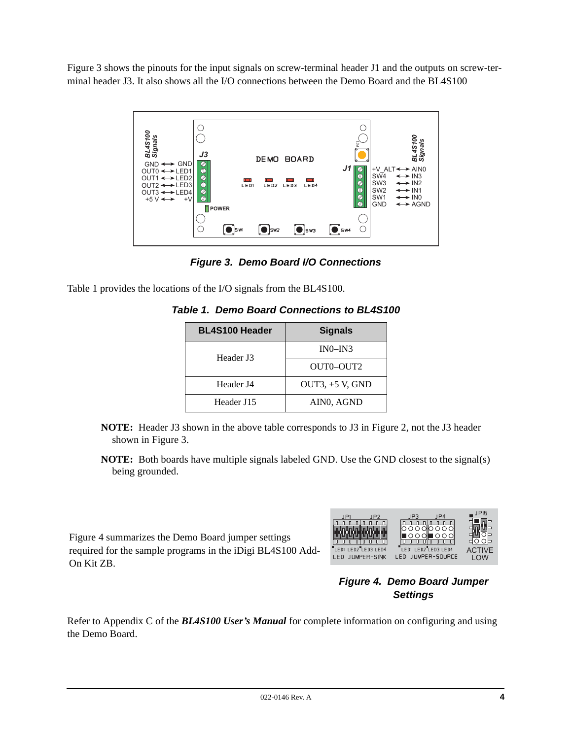[Figure 3](#page-3-0) shows the pinouts for the input signals on screw-terminal header J1 and the outputs on screw-terminal header J3. It also shows all the I/O connections between the Demo Board and the BL4S100



*Figure 3. Demo Board I/O Connections*

<span id="page-3-2"></span><span id="page-3-0"></span>[Table 1](#page-3-2) provides the locations of the I/O signals from the BL4S100.

| <b>BL4S100 Header</b> | <b>Signals</b>    |
|-----------------------|-------------------|
| Header J3             | $IN0-N3$          |
|                       | OUTO-OUT2         |
| Header I4             | OUT3, $+5$ V, GND |
| Header J15            | AIN0, AGND        |

- **NOTE:** Header J3 shown in the above table corresponds to J3 in [Figure 2](#page-2-0), not the J3 header shown in [Figure 3.](#page-3-0)
- **NOTE:** Both boards have multiple signals labeled GND. Use the GND closest to the signal(s) being grounded.

[Figure 4](#page-3-1) summarizes the Demo Board jumper settings required for the sample programs in the iDigi BL4S100 Add-On Kit ZB.



## <span id="page-3-1"></span>*Figure 4. Demo Board Jumper Settings*

Refer to Appendix C of the *BL4S100 User's Manual* for complete information on configuring and using the Demo Board.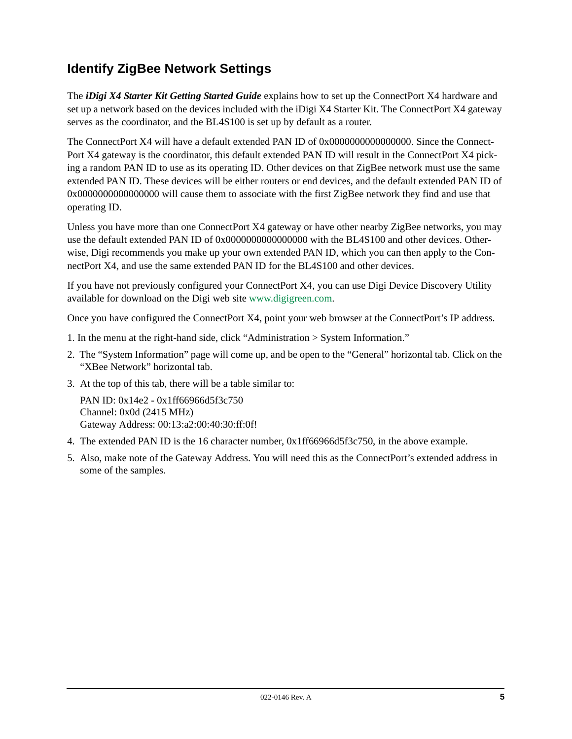# **Identify ZigBee Network Settings**

The *iDigi X4 Starter Kit Getting Started Guide* explains how to set up the ConnectPort X4 hardware and set up a network based on the devices included with the iDigi X4 Starter Kit. The ConnectPort X4 gateway serves as the coordinator, and the BL4S100 is set up by default as a router.

The ConnectPort X4 will have a default extended PAN ID of 0x0000000000000000. Since the Connect-Port X4 gateway is the coordinator, this default extended PAN ID will result in the ConnectPort X4 picking a random PAN ID to use as its operating ID. Other devices on that ZigBee network must use the same extended PAN ID. These devices will be either routers or end devices, and the default extended PAN ID of 0x0000000000000000 will cause them to associate with the first ZigBee network they find and use that operating ID.

Unless you have more than one ConnectPort X4 gateway or have other nearby ZigBee networks, you may use the default extended PAN ID of 0x0000000000000000 with the BL4S100 and other devices. Otherwise, Digi recommends you make up your own extended PAN ID, which you can then apply to the ConnectPort X4, and use the same extended PAN ID for the BL4S100 and other devices.

If you have not previously configured your ConnectPort X4, you can use Digi Device Discovery Utility available for download on the Digi web site [www.digigreen.com.](http://www.digigreen.com/)

Once you have configured the ConnectPort X4, point your web browser at the ConnectPort's IP address.

- 1. In the menu at the right-hand side, click "Administration > System Information."
- 2. The "System Information" page will come up, and be open to the "General" horizontal tab. Click on the "XBee Network" horizontal tab.
- 3. At the top of this tab, there will be a table similar to:

PAN ID: 0x14e2 - 0x1ff66966d5f3c750 Channel: 0x0d (2415 MHz) Gateway Address: 00:13:a2:00:40:30:ff:0f!

- 4. The extended PAN ID is the 16 character number, 0x1ff66966d5f3c750, in the above example.
- 5. Also, make note of the Gateway Address. You will need this as the ConnectPort's extended address in some of the samples.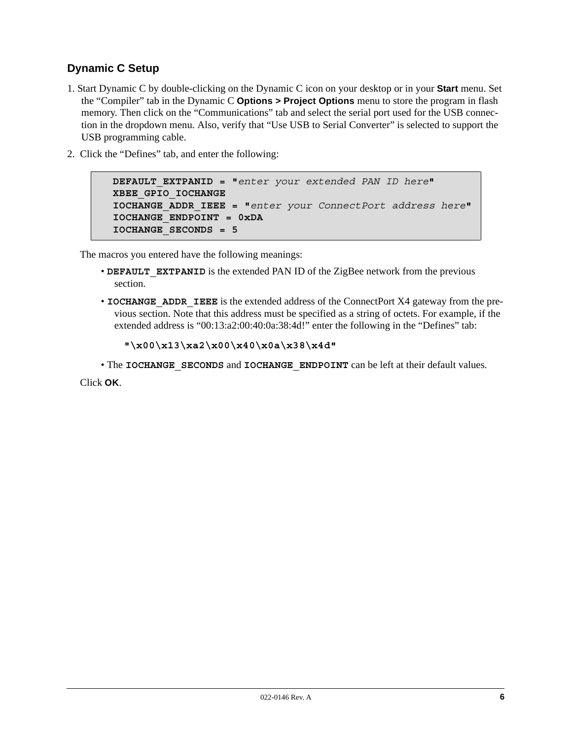# **Dynamic C Setup**

- 1. Start Dynamic C by double-clicking on the Dynamic C icon on your desktop or in your **Start** menu. Set the "Compiler" tab in the Dynamic C **Options > Project Options** menu to store the program in flash memory. Then click on the "Communications" tab and select the serial port used for the USB connection in the dropdown menu. Also, verify that "Use USB to Serial Converter" is selected to support the USB programming cable.
- 2. Click the "Defines" tab, and enter the following:

```
DEFAULT_EXTPANID = "enter your extended PAN ID here"
XBEE_GPIO_IOCHANGE
IOCHANGE_ADDR_IEEE = "enter your ConnectPort address here"
IOCHANGE_ENDPOINT = 0xDA
IOCHANGE_SECONDS = 5
```
The macros you entered have the following meanings:

- **DEFAULT** EXTPANID is the extended PAN ID of the ZigBee network from the previous section.
- **IOCHANGE** ADDR IEEE is the extended address of the ConnectPort X4 gateway from the previous section. Note that this address must be specified as a string of octets. For example, if the extended address is "00:13:a2:00:40:0a:38:4d!" enter the following in the "Defines" tab:

```
"\x00\x13\xa2\x00\x40\x0a\x38\x4d"
```
• The **IOCHANGE** SECONDS and **IOCHANGE** ENDPOINT can be left at their default values.

Click **OK**.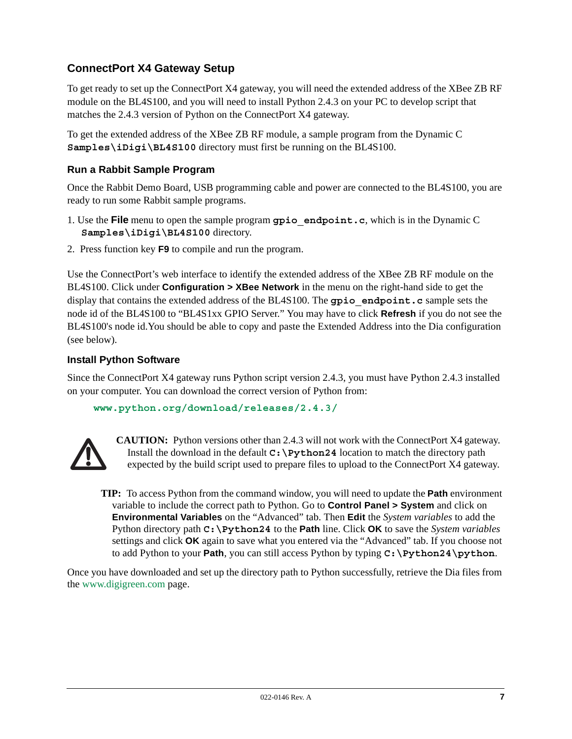# **ConnectPort X4 Gateway Setup**

To get ready to set up the ConnectPort X4 gateway, you will need the extended address of the XBee ZB RF module on the BL4S100, and you will need to install Python 2.4.3 on your PC to develop script that matches the 2.4.3 version of Python on the ConnectPort X4 gateway.

To get the extended address of the XBee ZB RF module, a sample program from the Dynamic C **Samples\iDigi\BL4S100** directory must first be running on the BL4S100.

## **Run a Rabbit Sample Program**

Once the Rabbit Demo Board, USB programming cable and power are connected to the BL4S100, you are ready to run some Rabbit sample programs.

- 1. Use the **File** menu to open the sample program **gpio\_endpoint.c**, which is in the Dynamic C **Samples\iDigi\BL4S100** directory.
- 2. Press function key **F9** to compile and run the program.

Use the ConnectPort's web interface to identify the extended address of the XBee ZB RF module on the BL4S100. Click under **Configuration > XBee Network** in the menu on the right-hand side to get the display that contains the extended address of the BL4S100. The **gpio\_endpoint.c** sample sets the node id of the BL4S100 to "BL4S1xx GPIO Server." You may have to click **Refresh** if you do not see the BL4S100's node id.You should be able to copy and paste the Extended Address into the Dia configuration (see below).

## **Install Python Software**

Since the ConnectPort X4 gateway runs Python script version 2.4.3, you must have Python 2.4.3 installed on your computer. You can download the correct version of Python from:

```
www.python.org/download/releases/2.4.3/
```


**CAUTION:** Python versions other than 2.4.3 will not work with the ConnectPort X4 gateway. Install the download in the default **C:\Python24** location to match the directory path expected by the build script used to prepare files to upload to the ConnectPort X4 gateway.

**TIP:** To access Python from the command window, you will need to update the **Path** environment variable to include the correct path to Python. Go to **Control Panel > System** and click on **Environmental Variables** on the "Advanced" tab. Then **Edit** the *System variables* to add the Python directory path **C:\Python24** to the **Path** line. Click **OK** to save the *System variables* settings and click **OK** again to save what you entered via the "Advanced" tab. If you choose not to add Python to your **Path**, you can still access Python by typing **C:\Python24\python**.

Once you have downloaded and set up the directory path to Python successfully, retrieve the Dia files from the [www.digigreen.com](http://www.digigreen.com/) page.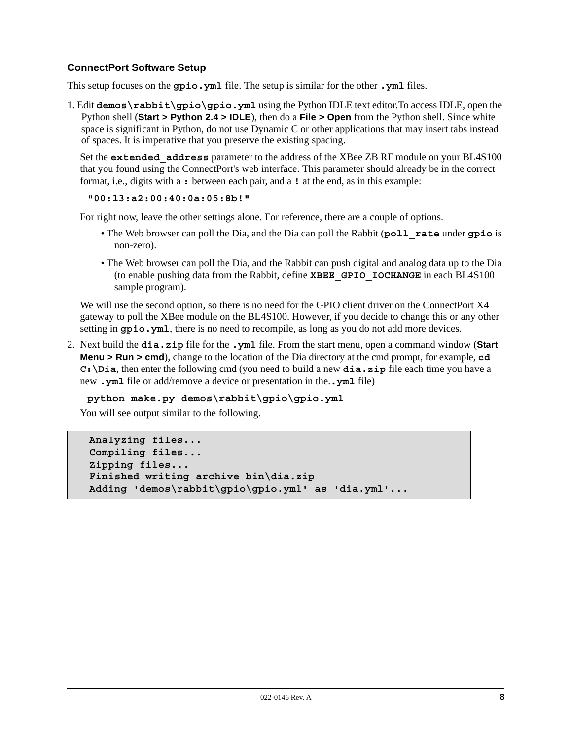## **ConnectPort Software Setup**

This setup focuses on the **gpio.yml** file. The setup is similar for the other **.yml** files.

1. Edit **demos\rabbit\gpio\gpio.yml** using the Python IDLE text editor.To access IDLE, open the Python shell (**Start > Python 2.4 > IDLE**), then do a **File > Open** from the Python shell. Since white space is significant in Python, do not use Dynamic C or other applications that may insert tabs instead of spaces. It is imperative that you preserve the existing spacing.

Set the **extended\_address** parameter to the address of the XBee ZB RF module on your BL4S100 that you found using the ConnectPort's web interface. This parameter should already be in the correct format, i.e., digits with a **:** between each pair, and a **!** at the end, as in this example:

**"00:13:a2:00:40:0a:05:8b!"**

For right now, leave the other settings alone. For reference, there are a couple of options.

- The Web browser can poll the Dia, and the Dia can poll the Rabbit (**poll\_rate** under **gpio** is non-zero).
- The Web browser can poll the Dia, and the Rabbit can push digital and analog data up to the Dia (to enable pushing data from the Rabbit, define **XBEE\_GPIO\_IOCHANGE** in each BL4S100 sample program).

We will use the second option, so there is no need for the GPIO client driver on the ConnectPort X4 gateway to poll the XBee module on the BL4S100. However, if you decide to change this or any other setting in **gpio.yml**, there is no need to recompile, as long as you do not add more devices.

2. Next build the **dia.zip** file for the **.yml** file. From the start menu, open a command window (**Start Menu > Run > cmd**), change to the location of the Dia directory at the cmd prompt, for example, **cd C:\Dia**, then enter the following cmd (you need to build a new **dia.zip** file each time you have a new **.yml** file or add/remove a device or presentation in the.**.yml** file)

**python make.py demos\rabbit\gpio\gpio.yml**

You will see output similar to the following.

```
Analyzing files...
Compiling files...
Zipping files...
Finished writing archive bin\dia.zip
Adding 'demos\rabbit\gpio\gpio.yml' as 'dia.yml'...
```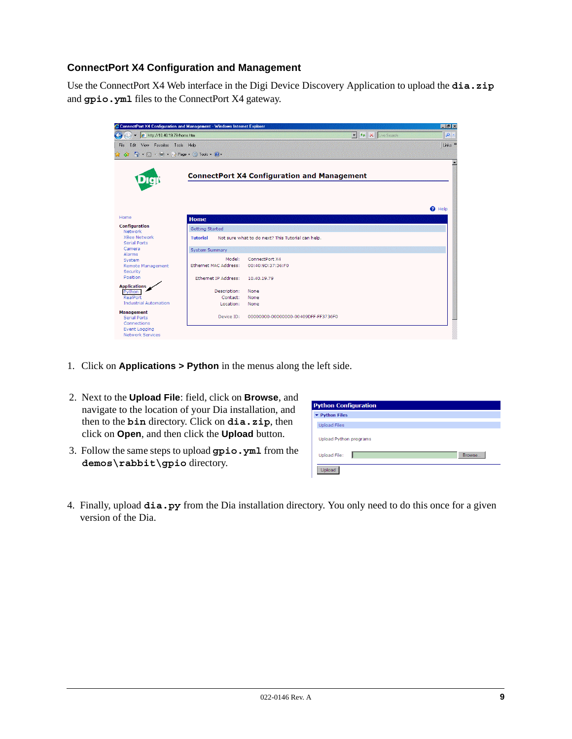## **ConnectPort X4 Configuration and Management**

Use the ConnectPort X4 Web interface in the Digi Device Discovery Application to upload the **dia.zip** and **gpio.yml** files to the ConnectPort X4 gateway.



- 1. Click on **Applications > Python** in the menus along the left side.
- 2. Next to the **Upload File**: field, click on **Browse**, and navigate to the location of your Dia installation, and then to the **bin** directory. Click on **dia.zip**, then click on **Open**, and then click the **Upload** button.
- 3. Follow the same steps to upload **gpio.yml** from the **demos\rabbit\gpio** directory.

| <b>Python Configuration</b>   |  |        |
|-------------------------------|--|--------|
| ▼ Python Files                |  |        |
| <b>Upload Files</b>           |  |        |
| <b>Upload Python programs</b> |  |        |
| <b>Upload File:</b>           |  | Browse |
| Upload                        |  |        |

4. Finally, upload **dia.py** from the Dia installation directory. You only need to do this once for a given version of the Dia.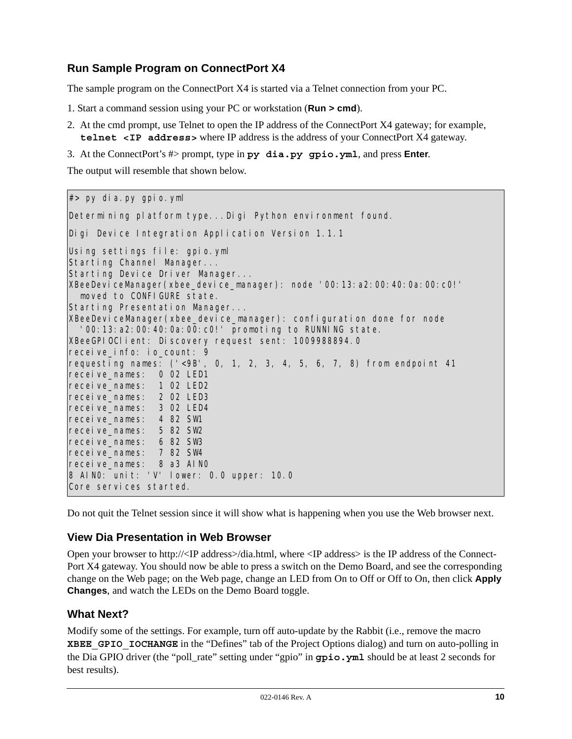# **Run Sample Program on ConnectPort X4**

The sample program on the ConnectPort X4 is started via a Telnet connection from your PC.

- 1. Start a command session using your PC or workstation (**Run > cmd**).
- 2. At the cmd prompt, use Telnet to open the IP address of the ConnectPort X4 gateway; for example, **telnet <IP address>** where IP address is the address of your ConnectPort X4 gateway.
- 3. At the ConnectPort's #> prompt, type in **py dia.py gpio.yml**, and press **Enter**.

The output will resemble that shown below.

#> py dia.py gpio.yml Determining platform type...Digi Python environment found. Digi Device Integration Application Version 1.1.1 Using settings file: gpio.yml Starting Channel Manager... Starting Device Driver Manager... XBeeDeviceManager(xbee\_device\_manager): node '00:13:a2:00:40:0a:00:c0!' moved to CONFIGURE state. Starting Presentation Manager... XBeeDeviceManager(xbee\_device\_manager): configuration done for node '00:13:a2:00:40:0a:00:c0!' promoting to RUNNING state. XBeeGPIOClient: Discovery request sent: 1009988894.0 receive\_info: io\_count: 9 requesting names: ('<9B', 0, 1, 2, 3, 4, 5, 6, 7, 8) from endpoint 41 receive\_names: 0 02 LED1 receive\_names: 1 02 LED2 receive\_names: 2 02 LED3 receive\_names: 3 02 LED4 receive\_names: 4 82 SW1 receive\_names: 5 82 SW2 receive\_names: 6 82 SW3 receive\_names: 7 82 SW4 receive\_names: 8 a3 AIN0 8 AIN0: unit: 'V' lower: 0.0 upper: 10.0 Core services started.

Do not quit the Telnet session since it will show what is happening when you use the Web browser next.

## **View Dia Presentation in Web Browser**

Open your browser to http://<IP address>/dia.html, where <IP address> is the IP address of the Connect-Port X4 gateway. You should now be able to press a switch on the Demo Board, and see the corresponding change on the Web page; on the Web page, change an LED from On to Off or Off to On, then click **Apply Changes**, and watch the LEDs on the Demo Board toggle.

## **What Next?**

Modify some of the settings. For example, turn off auto-update by the Rabbit (i.e., remove the macro **XBEE** GPIO IOCHANGE in the "Defines" tab of the Project Options dialog) and turn on auto-polling in the Dia GPIO driver (the "poll\_rate" setting under "gpio" in **gpio.yml** should be at least 2 seconds for best results).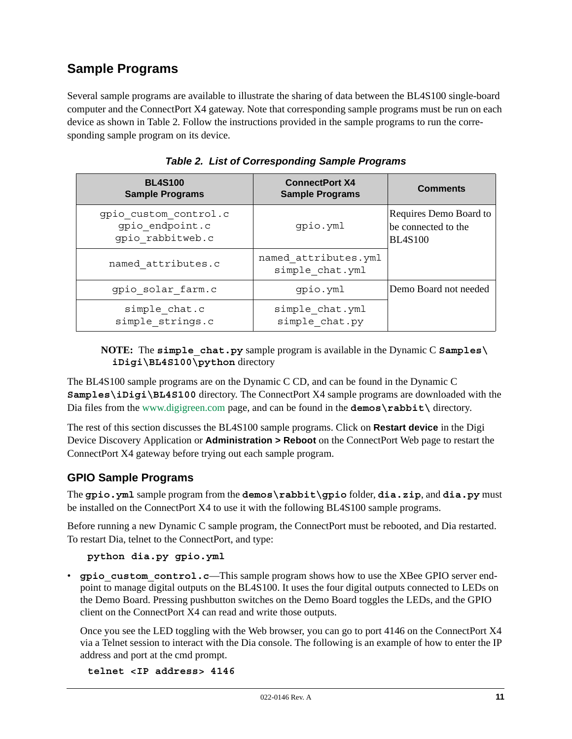# **Sample Programs**

Several sample programs are available to illustrate the sharing of data between the BL4S100 single-board computer and the ConnectPort X4 gateway. Note that corresponding sample programs must be run on each device as shown in [Table 2](#page-10-0). Follow the instructions provided in the sample programs to run the corresponding sample program on its device.

<span id="page-10-0"></span>

| <b>BL4S100</b><br><b>Sample Programs</b>                     | <b>ConnectPort X4</b><br><b>Sample Programs</b> | <b>Comments</b>                                                 |
|--------------------------------------------------------------|-------------------------------------------------|-----------------------------------------------------------------|
| gpio custom control.c<br>gpio endpoint.c<br>qpio rabbitweb.c | gpio.yml                                        | Requires Demo Board to<br>be connected to the<br><b>BL4S100</b> |
| named attributes.c                                           | named attributes.yml<br>simple chat.yml         |                                                                 |
| gpio solar farm.c                                            | gpio.yml                                        | Demo Board not needed                                           |
| simple chat.c<br>simple strings.c                            | simple chat.yml<br>simple chat.py               |                                                                 |

|  | Table 2. List of Corresponding Sample Programs |  |  |  |
|--|------------------------------------------------|--|--|--|
|--|------------------------------------------------|--|--|--|

## **NOTE:** The **simple\_chat.py** sample program is available in the Dynamic C **Samples\ iDigi\BL4S100\python** directory

The BL4S100 sample programs are on the Dynamic C CD, and can be found in the Dynamic C **Samples\iDigi\BL4S100** directory. The ConnectPort X4 sample programs are downloaded with the Dia files from the [www.digigreen.com](http://www.digigreen.com/) page, and can be found in the **demos** \**rabbit**\ directory.

The rest of this section discusses the BL4S100 sample programs. Click on **Restart device** in the Digi Device Discovery Application or **Administration > Reboot** on the ConnectPort Web page to restart the ConnectPort X4 gateway before trying out each sample program.

## **GPIO Sample Programs**

The **gpio.yml** sample program from the **demos\rabbit\gpio** folder, **dia.zip**, and **dia.py** must be installed on the ConnectPort X4 to use it with the following BL4S100 sample programs.

Before running a new Dynamic C sample program, the ConnectPort must be rebooted, and Dia restarted. To restart Dia, telnet to the ConnectPort, and type:

## **python dia.py gpio.yml**

• gpio custom control.c—This sample program shows how to use the XBee GPIO server endpoint to manage digital outputs on the BL4S100. It uses the four digital outputs connected to LEDs on the Demo Board. Pressing pushbutton switches on the Demo Board toggles the LEDs, and the GPIO client on the ConnectPort X4 can read and write those outputs.

Once you see the LED toggling with the Web browser, you can go to port 4146 on the ConnectPort X4 via a Telnet session to interact with the Dia console. The following is an example of how to enter the IP address and port at the cmd prompt.

**telnet <IP address> 4146**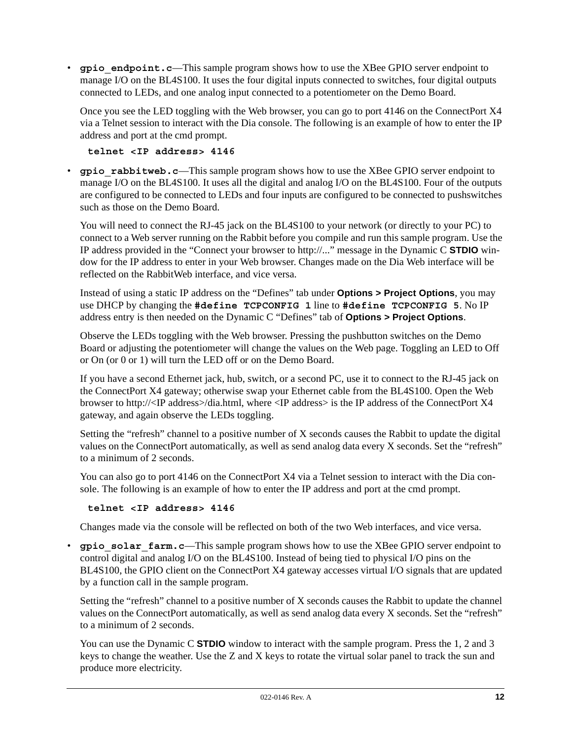• **gpio** endpoint.c—This sample program shows how to use the XBee GPIO server endpoint to manage I/O on the BL4S100. It uses the four digital inputs connected to switches, four digital outputs connected to LEDs, and one analog input connected to a potentiometer on the Demo Board.

Once you see the LED toggling with the Web browser, you can go to port 4146 on the ConnectPort X4 via a Telnet session to interact with the Dia console. The following is an example of how to enter the IP address and port at the cmd prompt.

```
telnet <IP address> 4146
```
• **gpio** rabbitweb.c—This sample program shows how to use the XBee GPIO server endpoint to manage I/O on the BL4S100. It uses all the digital and analog I/O on the BL4S100. Four of the outputs are configured to be connected to LEDs and four inputs are configured to be connected to pushswitches such as those on the Demo Board.

You will need to connect the RJ-45 jack on the BL4S100 to your network (or directly to your PC) to connect to a Web server running on the Rabbit before you compile and run this sample program. Use the IP address provided in the "Connect your browser to http://..." message in the Dynamic C **STDIO** window for the IP address to enter in your Web browser. Changes made on the Dia Web interface will be reflected on the RabbitWeb interface, and vice versa.

Instead of using a static IP address on the "Defines" tab under **Options > Project Options**, you may use DHCP by changing the **#define TCPCONFIG 1** line to **#define TCPCONFIG 5**. No IP address entry is then needed on the Dynamic C "Defines" tab of **Options > Project Options**.

Observe the LEDs toggling with the Web browser. Pressing the pushbutton switches on the Demo Board or adjusting the potentiometer will change the values on the Web page. Toggling an LED to Off or On (or 0 or 1) will turn the LED off or on the Demo Board.

If you have a second Ethernet jack, hub, switch, or a second PC, use it to connect to the RJ-45 jack on the ConnectPort X4 gateway; otherwise swap your Ethernet cable from the BL4S100. Open the Web browser to http://<IP address>/dia.html, where <IP address> is the IP address of the ConnectPort X4 gateway, and again observe the LEDs toggling.

Setting the "refresh" channel to a positive number of X seconds causes the Rabbit to update the digital values on the ConnectPort automatically, as well as send analog data every X seconds. Set the "refresh" to a minimum of 2 seconds.

You can also go to port 4146 on the ConnectPort X4 via a Telnet session to interact with the Dia console. The following is an example of how to enter the IP address and port at the cmd prompt.

```
telnet <IP address> 4146
```
Changes made via the console will be reflected on both of the two Web interfaces, and vice versa.

• **gpio** solar farm.c—This sample program shows how to use the XBee GPIO server endpoint to control digital and analog I/O on the BL4S100. Instead of being tied to physical I/O pins on the BL4S100, the GPIO client on the ConnectPort X4 gateway accesses virtual I/O signals that are updated by a function call in the sample program.

Setting the "refresh" channel to a positive number of X seconds causes the Rabbit to update the channel values on the ConnectPort automatically, as well as send analog data every X seconds. Set the "refresh" to a minimum of 2 seconds.

You can use the Dynamic C **STDIO** window to interact with the sample program. Press the 1, 2 and 3 keys to change the weather. Use the Z and X keys to rotate the virtual solar panel to track the sun and produce more electricity.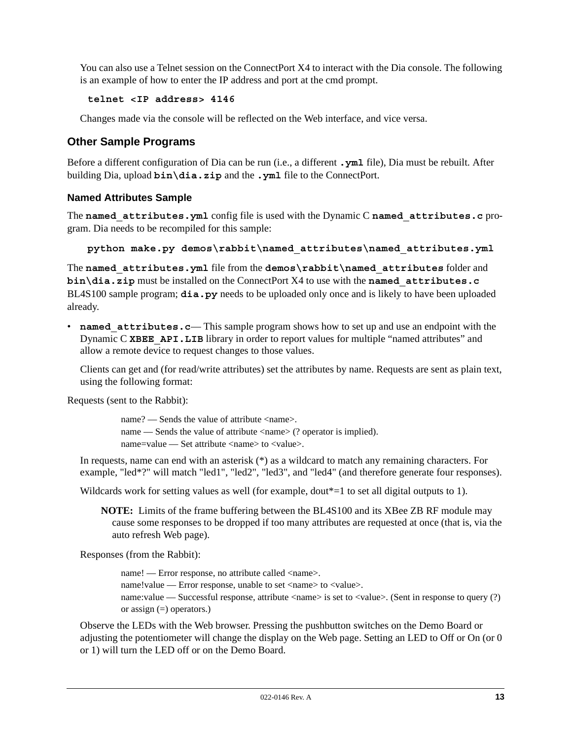You can also use a Telnet session on the ConnectPort X4 to interact with the Dia console. The following is an example of how to enter the IP address and port at the cmd prompt.

## **telnet <IP address> 4146**

Changes made via the console will be reflected on the Web interface, and vice versa.

## **Other Sample Programs**

Before a different configuration of Dia can be run (i.e., a different **.yml** file), Dia must be rebuilt. After building Dia, upload **bin\dia.zip** and the **.yml** file to the ConnectPort.

## **Named Attributes Sample**

The **named\_attributes.yml** config file is used with the Dynamic C **named\_attributes.c** program. Dia needs to be recompiled for this sample:

```
python make.py demos\rabbit\named_attributes\named_attributes.yml
```
The **named\_attributes.yml** file from the **demos\rabbit\named\_attributes** folder and **bin\dia.zip** must be installed on the ConnectPort X4 to use with the **named\_attributes.c** BL4S100 sample program; **dia.py** needs to be uploaded only once and is likely to have been uploaded already.

• **named attributes.c**— This sample program shows how to set up and use an endpoint with the Dynamic C XBEE API.LIB library in order to report values for multiple "named attributes" and allow a remote device to request changes to those values.

Clients can get and (for read/write attributes) set the attributes by name. Requests are sent as plain text, using the following format:

Requests (sent to the Rabbit):

name? — Sends the value of attribute <name>. name — Sends the value of attribute  $\langle$  name  $\rangle$  (? operator is implied). name=value — Set attribute <name> to <value>.

In requests, name can end with an asterisk (\*) as a wildcard to match any remaining characters. For example, "led\*?" will match "led1", "led2", "led3", and "led4" (and therefore generate four responses).

Wildcards work for setting values as well (for example, dout\*=1 to set all digital outputs to 1).

**NOTE:** Limits of the frame buffering between the BL4S100 and its XBee ZB RF module may cause some responses to be dropped if too many attributes are requested at once (that is, via the auto refresh Web page).

Responses (from the Rabbit):

name! — Error response, no attribute called <name>. name!value — Error response, unable to set <name> to <value>. name:value — Successful response, attribute <name> is set to <value>. (Sent in response to query (?) or assign (=) operators.)

Observe the LEDs with the Web browser. Pressing the pushbutton switches on the Demo Board or adjusting the potentiometer will change the display on the Web page. Setting an LED to Off or On (or 0 or 1) will turn the LED off or on the Demo Board.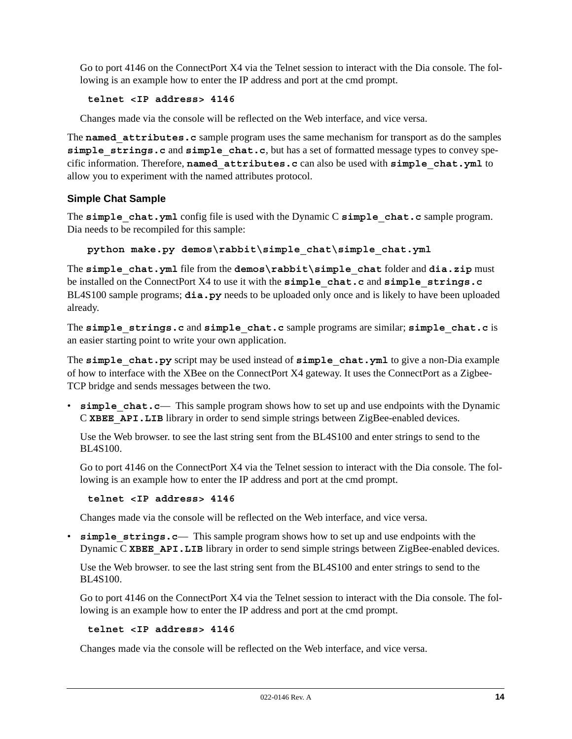Go to port 4146 on the ConnectPort X4 via the Telnet session to interact with the Dia console. The following is an example how to enter the IP address and port at the cmd prompt.

## **telnet <IP address> 4146**

Changes made via the console will be reflected on the Web interface, and vice versa.

The **named** attributes.c sample program uses the same mechanism for transport as do the samples **simple\_strings.c** and **simple\_chat.c**, but has a set of formatted message types to convey specific information. Therefore, **named\_attributes.c** can also be used with **simple\_chat.yml** to allow you to experiment with the named attributes protocol.

## **Simple Chat Sample**

The **simple** chat.yml config file is used with the Dynamic C **simple** chat.c sample program. Dia needs to be recompiled for this sample:

**python make.py demos\rabbit\simple\_chat\simple\_chat.yml**

The **simple\_chat.yml** file from the **demos\rabbit\simple\_chat** folder and **dia.zip** must be installed on the ConnectPort X4 to use it with the **simple\_chat.c** and **simple\_strings.c** BL4S100 sample programs; **dia.py** needs to be uploaded only once and is likely to have been uploaded already.

The **simple\_strings.c** and **simple\_chat.c** sample programs are similar; **simple\_chat.c** is an easier starting point to write your own application.

The **simple** chat.py script may be used instead of **simple** chat.yml to give a non-Dia example of how to interface with the XBee on the ConnectPort X4 gateway. It uses the ConnectPort as a Zigbee-TCP bridge and sends messages between the two.

• **simple** chat.c— This sample program shows how to set up and use endpoints with the Dynamic C XBEE API. LIB library in order to send simple strings between ZigBee-enabled devices.

Use the Web browser. to see the last string sent from the BL4S100 and enter strings to send to the BL4S100.

Go to port 4146 on the ConnectPort X4 via the Telnet session to interact with the Dia console. The following is an example how to enter the IP address and port at the cmd prompt.

```
telnet <IP address> 4146
```
Changes made via the console will be reflected on the Web interface, and vice versa.

• **simple strings.c**— This sample program shows how to set up and use endpoints with the Dynamic C XBEE API.LIB library in order to send simple strings between ZigBee-enabled devices.

Use the Web browser. to see the last string sent from the BL4S100 and enter strings to send to the BL4S100.

Go to port 4146 on the ConnectPort X4 via the Telnet session to interact with the Dia console. The following is an example how to enter the IP address and port at the cmd prompt.

#### **telnet <IP address> 4146**

Changes made via the console will be reflected on the Web interface, and vice versa.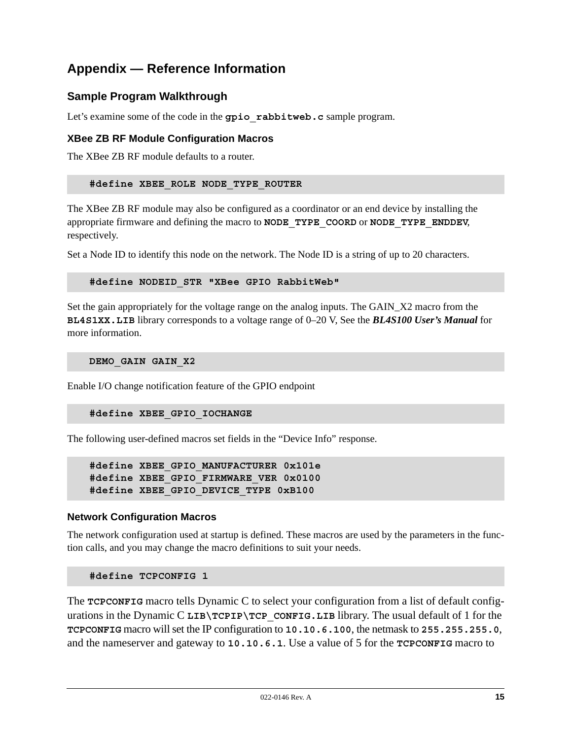# **Appendix — Reference Information**

## **Sample Program Walkthrough**

Let's examine some of the code in the **gpio** rabbitweb.c sample program.

## **XBee ZB RF Module Configuration Macros**

The XBee ZB RF module defaults to a router.

#### **#define XBEE\_ROLE NODE\_TYPE\_ROUTER**

The XBee ZB RF module may also be configured as a coordinator or an end device by installing the appropriate firmware and defining the macro to **NODE\_TYPE\_COORD** or **NODE\_TYPE\_ENDDEV**, respectively.

Set a Node ID to identify this node on the network. The Node ID is a string of up to 20 characters.

#### **#define NODEID\_STR "XBee GPIO RabbitWeb"**

Set the gain appropriately for the voltage range on the analog inputs. The GAIN\_X2 macro from the **BL4S1XX.LIB** library corresponds to a voltage range of 0–20 V, See the *BL4S100 User's Manual* for more information.

**DEMO\_GAIN GAIN\_X2**

Enable I/O change notification feature of the GPIO endpoint

#### **#define XBEE\_GPIO\_IOCHANGE**

The following user-defined macros set fields in the "Device Info" response.

```
#define XBEE_GPIO_MANUFACTURER 0x101e
#define XBEE_GPIO_FIRMWARE_VER 0x0100
#define XBEE_GPIO_DEVICE_TYPE 0xB100
```
## **Network Configuration Macros**

The network configuration used at startup is defined. These macros are used by the parameters in the function calls, and you may change the macro definitions to suit your needs.

#### **#define TCPCONFIG 1**

The **TCPCONFIG** macro tells Dynamic C to select your configuration from a list of default configurations in the Dynamic C LIB\TCPIP\TCP\_CONFIG.LIB library. The usual default of 1 for the **TCPCONFIG** macro will set the IP configuration to **10.10.6.100**, the netmask to **255.255.255.0**, and the nameserver and gateway to **10.10.6.1**. Use a value of 5 for the **TCPCONFIG** macro to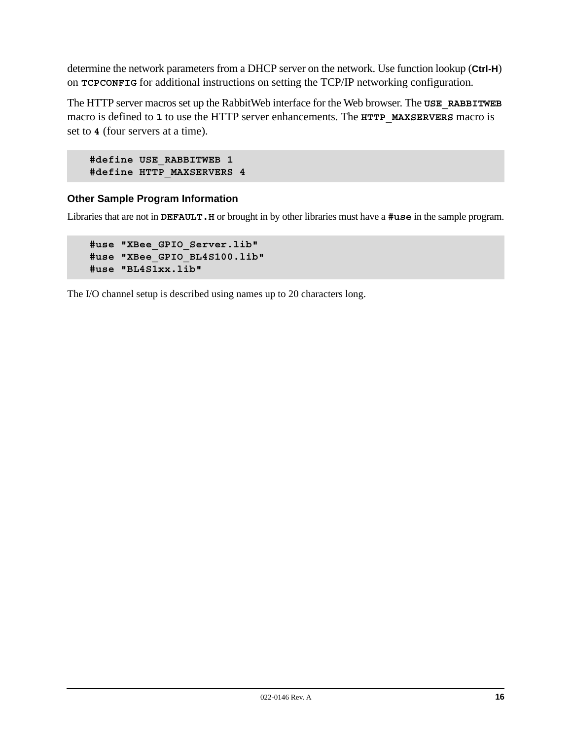determine the network parameters from a DHCP server on the network. Use function lookup (**Ctrl-H**) on **TCPCONFIG** for additional instructions on setting the TCP/IP networking configuration.

The HTTP server macros set up the RabbitWeb interface for the Web browser. The **USE\_RABBITWEB** macro is defined to **1** to use the HTTP server enhancements. The **HTTP\_MAXSERVERS** macro is set to **4** (four servers at a time).

```
#define USE_RABBITWEB 1
#define HTTP_MAXSERVERS 4
```
## **Other Sample Program Information**

Libraries that are not in **DEFAULT.H** or brought in by other libraries must have a **#use** in the sample program.

```
#use "XBee_GPIO_Server.lib"
#use "XBee_GPIO_BL4S100.lib"
#use "BL4S1xx.lib"
```
The I/O channel setup is described using names up to 20 characters long.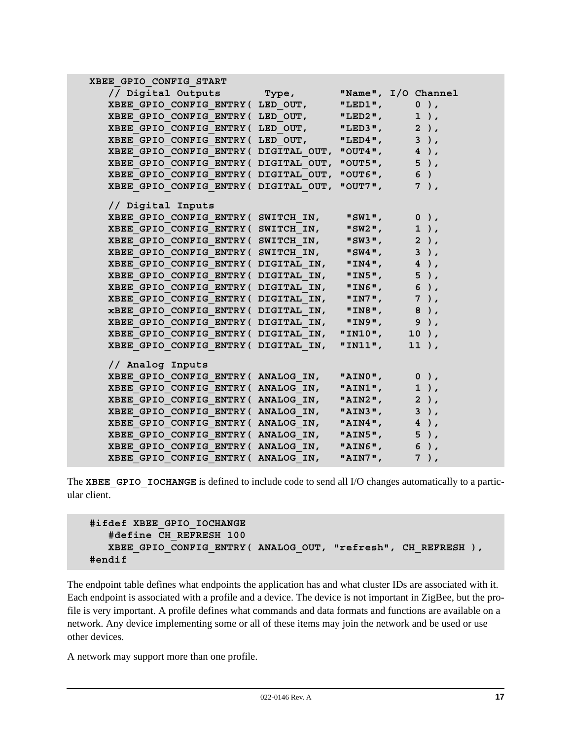| XBEE GPIO CONFIG START                                                                       |                  |                 |
|----------------------------------------------------------------------------------------------|------------------|-----------------|
| // Digital Outputs Type, "Name", I/O Channel                                                 |                  |                 |
| XBEE GPIO CONFIG ENTRY ( LED OUT, "LED1",                                                    |                  | $0$ ),          |
| XBEE GPIO CONFIG ENTRY ( LED OUT, "LED2",                                                    |                  | $1$ ),          |
| XBEE GPIO CONFIG ENTRY ( LED OUT, "LED3",                                                    |                  | $2$ ),          |
| XBEE GPIO CONFIG ENTRY ( LED OUT, "LED4",                                                    |                  | $3)$ ,          |
| XBEE GPIO CONFIG ENTRY (DIGITAL OUT, "OUT4",                                                 |                  | $4$ ),          |
| XBEE GPIO CONFIG ENTRY (DIGITAL OUT, "OUT5",                                                 |                  | $5$ ),          |
| XBEE GPIO CONFIG ENTRY ( DIGITAL OUT, "OUT6",                                                |                  | 6)              |
| XBEE GPIO CONFIG ENTRY (DIGITAL OUT, "OUT7",                                                 |                  | $7)$ ,          |
|                                                                                              |                  |                 |
| // Digital Inputs                                                                            |                  |                 |
| XBEE GPIO CONFIG ENTRY ( SWITCH IN, "SW1", 0),                                               |                  | $1$ ),          |
| XBEE GPIO CONFIG ENTRY (SWITCH IN,<br>XBEE GPIO CONFIG ENTRY ( SWITCH IN,                    | "SW2",           | $2$ ),          |
| $XBEE$ GPIO CONFIG ENTRY ( $SWITCH$ IN, $MSW4$ ",                                            | "SW3",           | $3$ ),          |
| XBEE GPIO CONFIG ENTRY (DIGITAL IN, "IN4",                                                   |                  | $4$ ),          |
| XBEE GPIO CONFIG ENTRY ( DIGITAL IN,                                                         |                  | $5$ ),          |
| XBEE GPIO CONFIG ENTRY ( DIGITAL IN,                                                         | "IN5",<br>"IN6", | 6),             |
|                                                                                              |                  | 7),             |
| XBEE_GPIO_CONFIG_ENTRY(DIGITAL_IN, "IN7",<br>xBEE GPIO CONFIG ENTRY ( DIGITAL IN, "IN8", 8), |                  |                 |
| XBEE GPIO CONFIG ENTRY ( DIGITAL IN, "IN9", 9),                                              |                  |                 |
| XBEE GPIO CONFIG ENTRY ( DIGITAL IN,                                                         |                  | "IN10", $10$ ), |
| XBEE GPIO CONFIG ENTRY ( DIGITAL IN,                                                         | "IN $11"$ ,      | $11$ ),         |
|                                                                                              |                  |                 |
| // Analog Inputs                                                                             |                  |                 |
| XBEE GPIO CONFIG ENTRY (ANALOG IN, "AINO",                                                   |                  | $0$ ),          |
| XBEE GPIO CONFIG ENTRY (ANALOG IN, "AIN1",                                                   |                  | $1$ ),          |
| XBEE GPIO CONFIG ENTRY (ANALOG IN,                                                           | "AIN2",          | $2$ ),          |
| XBEE GPIO CONFIG ENTRY (ANALOG IN, "AIN3",                                                   |                  | $3$ ),          |
| XBEE GPIO CONFIG ENTRY (ANALOG_IN, "AIN4",                                                   |                  | $4$ ),          |
| XBEE GPIO CONFIG ENTRY (ANALOG IN, "AIN5",                                                   |                  | $5$ ),          |
| XBEE GPIO CONFIG ENTRY (ANALOG IN, "AIN6", 6),                                               |                  |                 |
| XBEE GPIO CONFIG ENTRY ( ANALOG IN,                                                          | "AIN $7"$ ,      | $7)$ ,          |

The **XBEE** GPIO IOCHANGE is defined to include code to send all I/O changes automatically to a particular client.

```
#ifdef XBEE_GPIO_IOCHANGE
    #define CH_REFRESH 100
    XBEE_GPIO_CONFIG_ENTRY( ANALOG_OUT, "refresh", CH_REFRESH ),
#endif
```
The endpoint table defines what endpoints the application has and what cluster IDs are associated with it. Each endpoint is associated with a profile and a device. The device is not important in ZigBee, but the profile is very important. A profile defines what commands and data formats and functions are available on a network. Any device implementing some or all of these items may join the network and be used or use other devices.

A network may support more than one profile.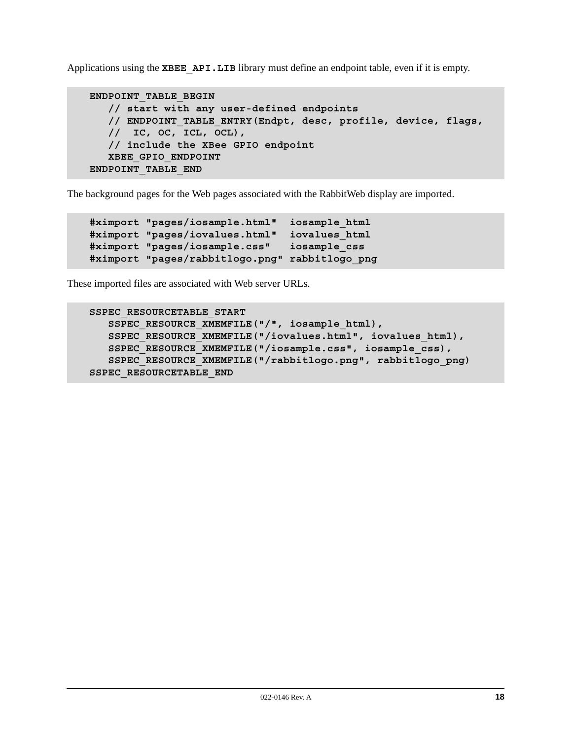Applications using the **XBEE** API.LIB library must define an endpoint table, even if it is empty.

```
ENDPOINT_TABLE_BEGIN
    // start with any user-defined endpoints
    // ENDPOINT_TABLE_ENTRY(Endpt, desc, profile, device, flags,
    // IC, OC, ICL, OCL),
    // include the XBee GPIO endpoint
    XBEE_GPIO_ENDPOINT
ENDPOINT_TABLE_END
```
The background pages for the Web pages associated with the RabbitWeb display are imported.

```
#ximport "pages/iosample.html" iosample_html
#ximport "pages/iovalues.html" iovalues_html
#ximport "pages/iosample.css" iosample_css
#ximport "pages/rabbitlogo.png" rabbitlogo_png
```
These imported files are associated with Web server URLs.

```
SSPEC_RESOURCETABLE_START
    SSPEC_RESOURCE_XMEMFILE("/", iosample_html),
    SSPEC_RESOURCE_XMEMFILE("/iovalues.html", iovalues_html),
    SSPEC_RESOURCE_XMEMFILE("/iosample.css", iosample_css),
    SSPEC_RESOURCE_XMEMFILE("/rabbitlogo.png", rabbitlogo_png)
SSPEC_RESOURCETABLE_END
```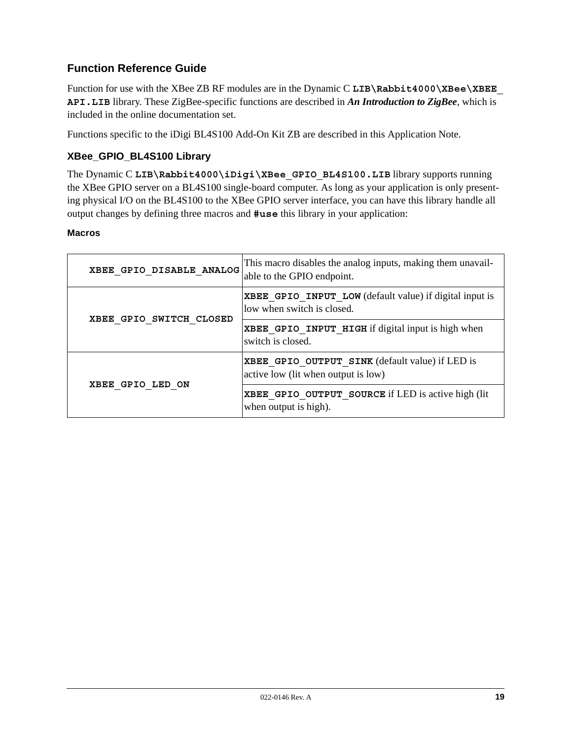# **Function Reference Guide**

Function for use with the XBee ZB RF modules are in the Dynamic C LIB\Rabbit4000\XBee\XBEE **API.LIB** library. These ZigBee-specific functions are described in *An Introduction to ZigBee*, which is included in the online documentation set.

Functions specific to the iDigi BL4S100 Add-On Kit ZB are described in this Application Note.

## **XBee\_GPIO\_BL4S100 Library**

The Dynamic C LIB\Rabbit4000\iDigi\XBee GPIO BL4S100.LIB library supports running the XBee GPIO server on a BL4S100 single-board computer. As long as your application is only presenting physical I/O on the BL4S100 to the XBee GPIO server interface, you can have this library handle all output changes by defining three macros and **#use** this library in your application:

## **Macros**

| XBEE GPIO DISABLE ANALOG | This macro disables the analog inputs, making them unavail-<br>able to the GPIO endpoint.    |
|--------------------------|----------------------------------------------------------------------------------------------|
|                          | <b>XBEE GPIO INPUT LOW</b> (default value) if digital input is<br>low when switch is closed. |
| XBEE GPIO SWITCH CLOSED  | XBEE GPIO INPUT HIGH if digital input is high when<br>switch is closed.                      |
|                          | XBEE GPIO OUTPUT SINK (default value) if LED is<br>active low (lit when output is low)       |
| XBEE GPIO LED ON         | XBEE GPIO OUTPUT SOURCE if LED is active high (lit<br>when output is high).                  |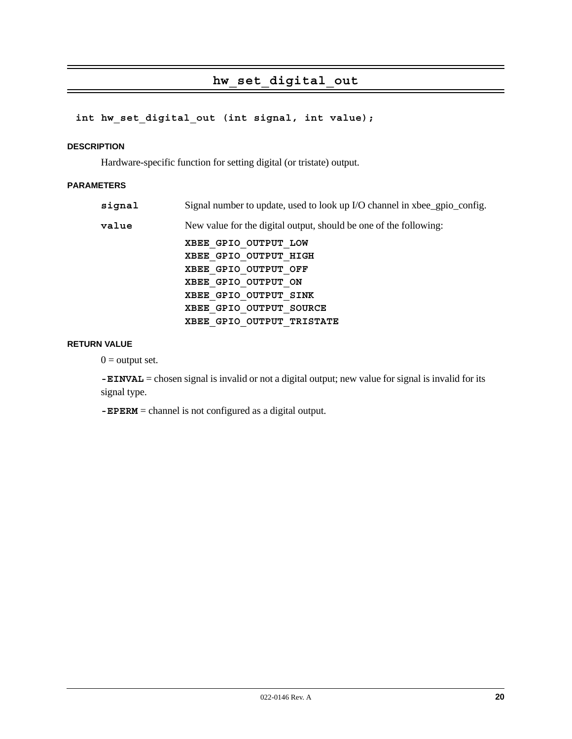# **hw\_set\_digital\_out**

## **int hw\_set\_digital\_out (int signal, int value);**

#### **DESCRIPTION**

Hardware-specific function for setting digital (or tristate) output.

## **PARAMETERS**

| signal | Signal number to update, used to look up I/O channel in xbee_gpio_config. |
|--------|---------------------------------------------------------------------------|
| value  | New value for the digital output, should be one of the following:         |
|        | XBEE GPIO OUTPUT LOW                                                      |
|        | XBEE GPIO OUTPUT HIGH                                                     |
|        | XBEE GPIO OUTPUT OFF                                                      |
|        | XBEE GPIO OUTPUT ON                                                       |
|        | XBEE GPIO OUTPUT SINK                                                     |
|        | XBEE GPIO OUTPUT SOURCE                                                   |
|        | XBEE GPIO OUTPUT TRISTATE                                                 |

#### **RETURN VALUE**

 $0 =$  output set.

**-EINVAL** = chosen signal is invalid or not a digital output; new value for signal is invalid for its signal type.

**-EPERM** = channel is not configured as a digital output.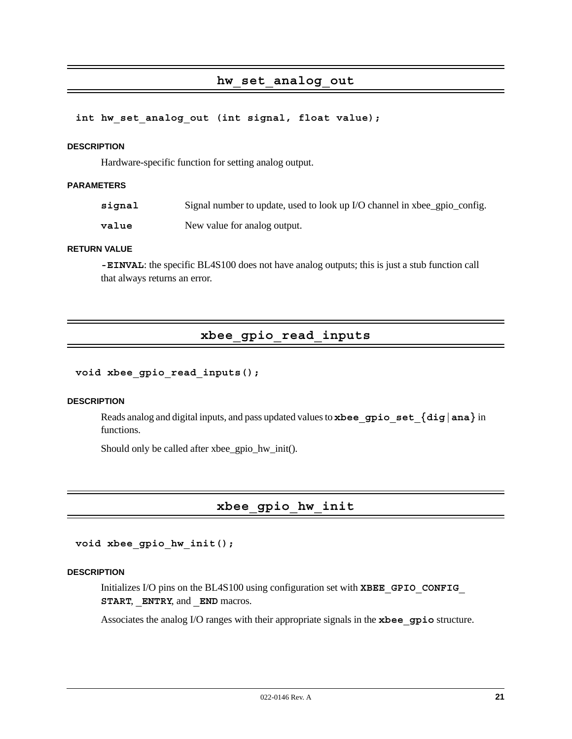## **hw\_set\_analog\_out**

#### **int hw\_set\_analog\_out (int signal, float value);**

#### **DESCRIPTION**

Hardware-specific function for setting analog output.

#### **PARAMETERS**

signal Signal number to update, used to look up I/O channel in xbee\_gpio\_config.

**value** New value for analog output.

#### **RETURN VALUE**

**-EINVAL**: the specific BL4S100 does not have analog outputs; this is just a stub function call that always returns an error.

# **xbee\_gpio\_read\_inputs**

#### **void xbee\_gpio\_read\_inputs();**

#### **DESCRIPTION**

Reads analog and digital inputs, and pass updated values to **xbee\_gpio\_set\_{dig|ana}** in functions.

Should only be called after xbee\_gpio\_hw\_init().

# **xbee\_gpio\_hw\_init**

**void xbee\_gpio\_hw\_init();**

## **DESCRIPTION**

Initializes I/O pins on the BL4S100 using configuration set with **XBEE\_GPIO\_CONFIG\_ START**, **\_ENTRY**, and **\_END** macros.

Associates the analog I/O ranges with their appropriate signals in the **xbee\_gpio** structure.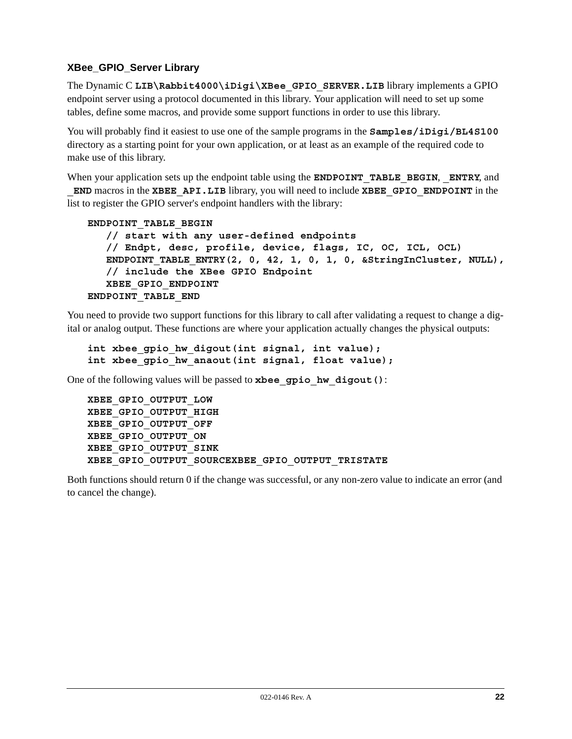## **XBee\_GPIO\_Server Library**

The Dynamic C LIB\Rabbit4000\iDigi\XBee GPIO SERVER.LIB library implements a GPIO endpoint server using a protocol documented in this library. Your application will need to set up some tables, define some macros, and provide some support functions in order to use this library.

You will probably find it easiest to use one of the sample programs in the **Samples/iDigi/BL4S100** directory as a starting point for your own application, or at least as an example of the required code to make use of this library.

When your application sets up the endpoint table using the **ENDPOINT\_TABLE\_BEGIN**, **\_ENTRY**, and **\_END** macros in the **XBEE\_API.LIB** library, you will need to include **XBEE\_GPIO\_ENDPOINT** in the list to register the GPIO server's endpoint handlers with the library:

```
ENDPOINT_TABLE_BEGIN
```

```
 // start with any user-defined endpoints
    // Endpt, desc, profile, device, flags, IC, OC, ICL, OCL)
   ENDPOINT TABLE ENTRY(2, 0, 42, 1, 0, 1, 0, &StringInCluster, NULL),
    // include the XBee GPIO Endpoint
    XBEE_GPIO_ENDPOINT
ENDPOINT_TABLE_END
```
You need to provide two support functions for this library to call after validating a request to change a digital or analog output. These functions are where your application actually changes the physical outputs:

```
int xbee gpio hw digout(int signal, int value);
int xbee gpio hw anaout(int signal, float value);
```
One of the following values will be passed to **xbee\_gpio\_hw\_digout()**:

```
XBEE_GPIO_OUTPUT_LOW
XBEE_GPIO_OUTPUT_HIGH
XBEE_GPIO_OUTPUT_OFF
XBEE_GPIO_OUTPUT_ON
XBEE_GPIO_OUTPUT_SINK
XBEE_GPIO_OUTPUT_SOURCEXBEE_GPIO_OUTPUT_TRISTATE
```
Both functions should return 0 if the change was successful, or any non-zero value to indicate an error (and to cancel the change).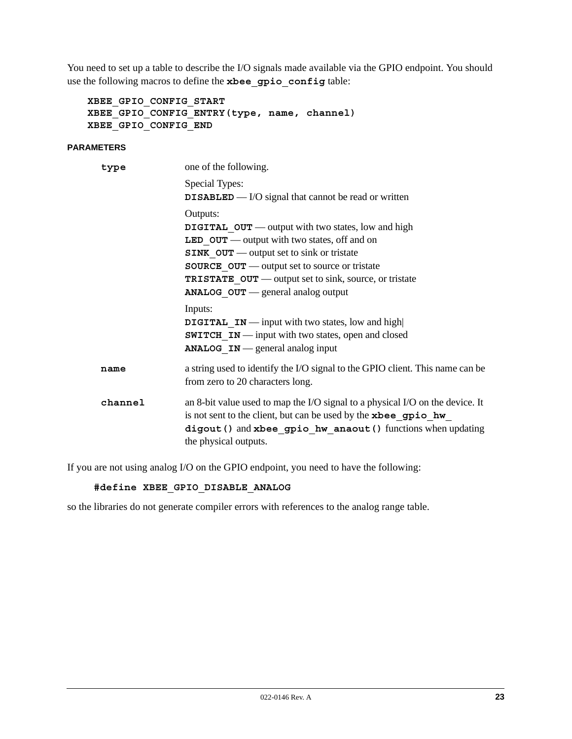You need to set up a table to describe the I/O signals made available via the GPIO endpoint. You should use the following macros to define the **xbee\_gpio\_config** table:

**XBEE\_GPIO\_CONFIG\_START XBEE\_GPIO\_CONFIG\_ENTRY(type, name, channel) XBEE\_GPIO\_CONFIG\_END**

## **PARAMETERS**

| type    | one of the following.                                                                                                                                                                                                                    |
|---------|------------------------------------------------------------------------------------------------------------------------------------------------------------------------------------------------------------------------------------------|
|         | Special Types:                                                                                                                                                                                                                           |
|         | <b>DISABLED</b> — $I/O$ signal that cannot be read or written                                                                                                                                                                            |
|         | Outputs:                                                                                                                                                                                                                                 |
|         | <b>DIGITAL OUT</b> — output with two states, low and high                                                                                                                                                                                |
|         | <b>LED</b> $OUT$ — output with two states, off and on                                                                                                                                                                                    |
|         | $SINK$ $OUT$ — output set to sink or tristate                                                                                                                                                                                            |
|         | <b>SOURCE OUT</b> — output set to source or tristate                                                                                                                                                                                     |
|         | <b>TRISTATE OUT</b> — output set to sink, source, or tristate                                                                                                                                                                            |
|         | ANALOG_OUT - general analog output                                                                                                                                                                                                       |
|         | Inputs:                                                                                                                                                                                                                                  |
|         | <b>DIGITAL</b> IN — input with two states, low and high                                                                                                                                                                                  |
|         | <b>SWITCH IN</b> — input with two states, open and closed                                                                                                                                                                                |
|         | <b>ANALOG</b> $IN$ - general analog input                                                                                                                                                                                                |
| name    | a string used to identify the I/O signal to the GPIO client. This name can be<br>from zero to 20 characters long.                                                                                                                        |
| channel | an 8-bit value used to map the I/O signal to a physical I/O on the device. It<br>is not sent to the client, but can be used by the xbee gpio hw<br>digout () and xbee_gpio_hw_anaout () functions when updating<br>the physical outputs. |

If you are not using analog I/O on the GPIO endpoint, you need to have the following:

## **#define XBEE\_GPIO\_DISABLE\_ANALOG**

so the libraries do not generate compiler errors with references to the analog range table.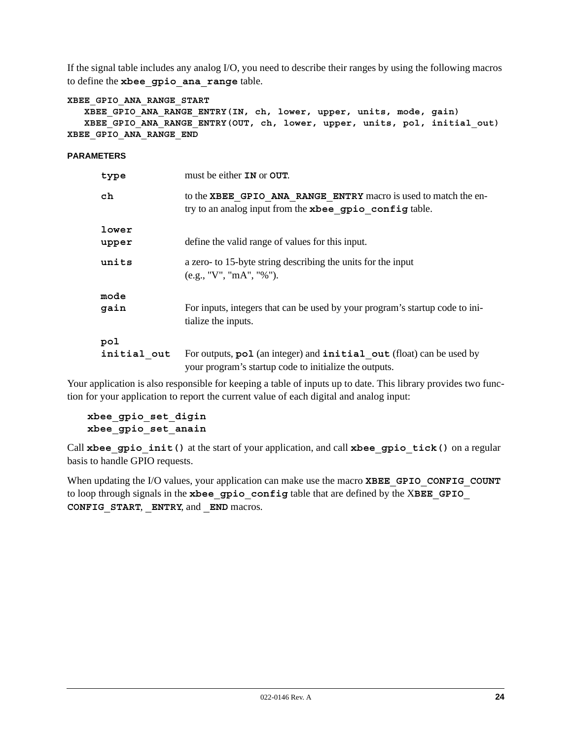If the signal table includes any analog I/O, you need to describe their ranges by using the following macros to define the **xbee\_gpio\_ana\_range** table.

```
XBEE_GPIO_ANA_RANGE_START
```

```
 XBEE_GPIO_ANA_RANGE_ENTRY(IN, ch, lower, upper, units, mode, gain)
    XBEE_GPIO_ANA_RANGE_ENTRY(OUT, ch, lower, upper, units, pol, initial_out)
XBEE_GPIO_ANA_RANGE_END
```
**PARAMETERS**

| type               | must be either <b>IN</b> or <b>OUT</b> .                                                                                       |
|--------------------|--------------------------------------------------------------------------------------------------------------------------------|
| ch                 | to the XBEE GPIO ANA RANGE ENTRY macro is used to match the en-<br>try to an analog input from the xbee gpio config table.     |
| lower<br>upper     | define the valid range of values for this input.                                                                               |
| units              | a zero- to 15-byte string describing the units for the input<br>(e.g., "V", "mA", "%").                                        |
| mode<br>gain       | For inputs, integers that can be used by your program's startup code to ini-<br>tialize the inputs.                            |
| pol<br>initial out | For outputs, pol (an integer) and initial out (float) can be used by<br>your program's startup code to initialize the outputs. |

Your application is also responsible for keeping a table of inputs up to date. This library provides two function for your application to report the current value of each digital and analog input:

**xbee\_gpio\_set\_digin xbee\_gpio\_set\_anain**

Call **xbee\_gpio\_init()** at the start of your application, and call **xbee\_gpio\_tick()** on a regular basis to handle GPIO requests.

When updating the I/O values, your application can make use the macro **XBEE** GPIO CONFIG COUNT to loop through signals in the **xbee\_gpio\_config** table that are defined by the X**BEE\_GPIO\_ CONFIG\_START**, **\_ENTRY**, and **\_END** macros.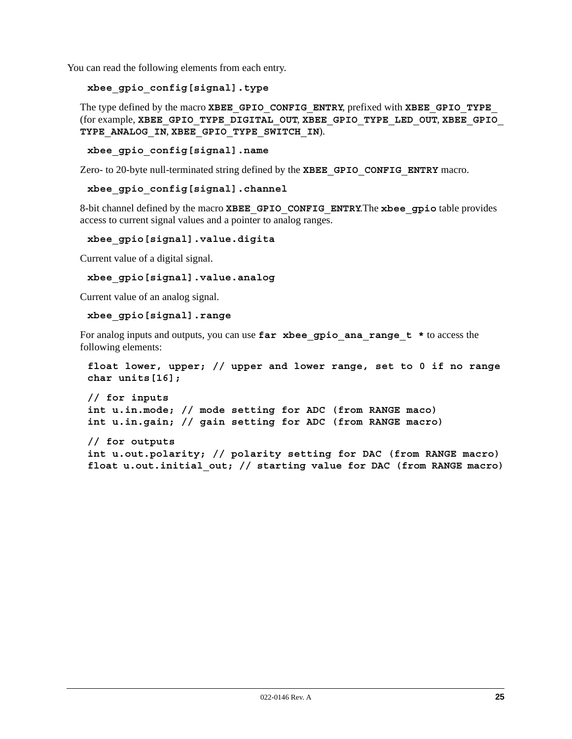You can read the following elements from each entry.

```
xbee_gpio_config[signal].type
```
The type defined by the macro **XBEE\_GPIO\_CONFIG\_ENTRY**, prefixed with **XBEE\_GPIO\_TYPE\_** (for example, **XBEE\_GPIO\_TYPE\_DIGITAL\_OUT**, **XBEE\_GPIO\_TYPE\_LED\_OUT**, **XBEE\_GPIO\_ TYPE\_ANALOG\_IN**, **XBEE\_GPIO\_TYPE\_SWITCH\_IN**).

**xbee\_gpio\_config[signal].name**

Zero- to 20-byte null-terminated string defined by the **XBEE\_GPIO\_CONFIG\_ENTRY** macro.

**xbee\_gpio\_config[signal].channel**

8-bit channel defined by the macro **XBEE\_GPIO\_CONFIG\_ENTRY**.The **xbee\_gpio** table provides access to current signal values and a pointer to analog ranges.

**xbee\_gpio[signal].value.digita**

Current value of a digital signal.

```
xbee_gpio[signal].value.analog
```
Current value of an analog signal.

```
xbee_gpio[signal].range
```
For analog inputs and outputs, you can use far xbee gpio ana range t \* to access the following elements:

```
float lower, upper; // upper and lower range, set to 0 if no range
char units[16];
```

```
// for inputs
int u.in.mode; // mode setting for ADC (from RANGE maco)
int u.in.gain; // gain setting for ADC (from RANGE macro)
```
**// for outputs int u.out.polarity; // polarity setting for DAC (from RANGE macro) float u.out.initial\_out; // starting value for DAC (from RANGE macro)**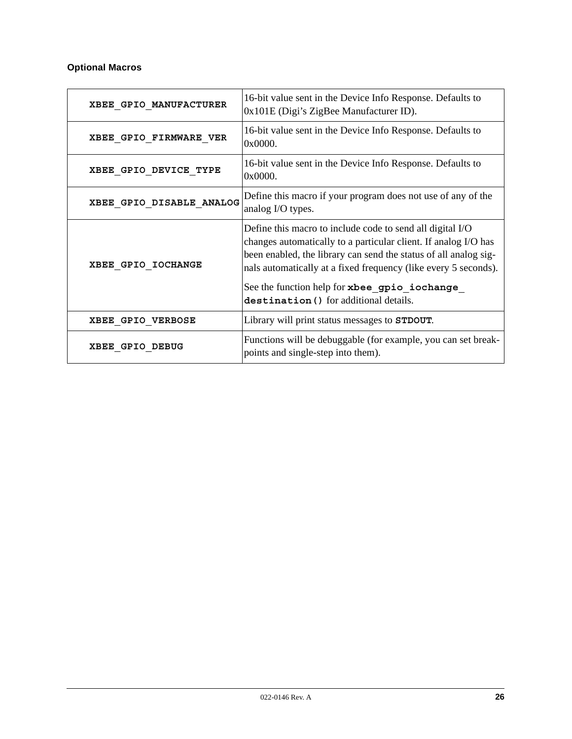## **Optional Macros**

| XBEE GPIO MANUFACTURER   | 16-bit value sent in the Device Info Response. Defaults to<br>0x101E (Digi's ZigBee Manufacturer ID).                                                                                                                                                                                                                                                          |
|--------------------------|----------------------------------------------------------------------------------------------------------------------------------------------------------------------------------------------------------------------------------------------------------------------------------------------------------------------------------------------------------------|
| XBEE GPIO FIRMWARE VER   | 16-bit value sent in the Device Info Response. Defaults to<br>0x0000.                                                                                                                                                                                                                                                                                          |
| XBEE GPIO DEVICE TYPE    | 16-bit value sent in the Device Info Response. Defaults to<br>0x0000.                                                                                                                                                                                                                                                                                          |
| XBEE GPIO DISABLE ANALOG | Define this macro if your program does not use of any of the<br>analog I/O types.                                                                                                                                                                                                                                                                              |
| XBEE GPIO IOCHANGE       | Define this macro to include code to send all digital I/O<br>changes automatically to a particular client. If analog I/O has<br>been enabled, the library can send the status of all analog sig-<br>nals automatically at a fixed frequency (like every 5 seconds).<br>See the function help for xbee_gpio_iochange_<br>destination () for additional details. |
| XBEE GPIO VERBOSE        | Library will print status messages to STDOUT.                                                                                                                                                                                                                                                                                                                  |
| XBEE GPIO DEBUG          | Functions will be debuggable (for example, you can set break-<br>points and single-step into them).                                                                                                                                                                                                                                                            |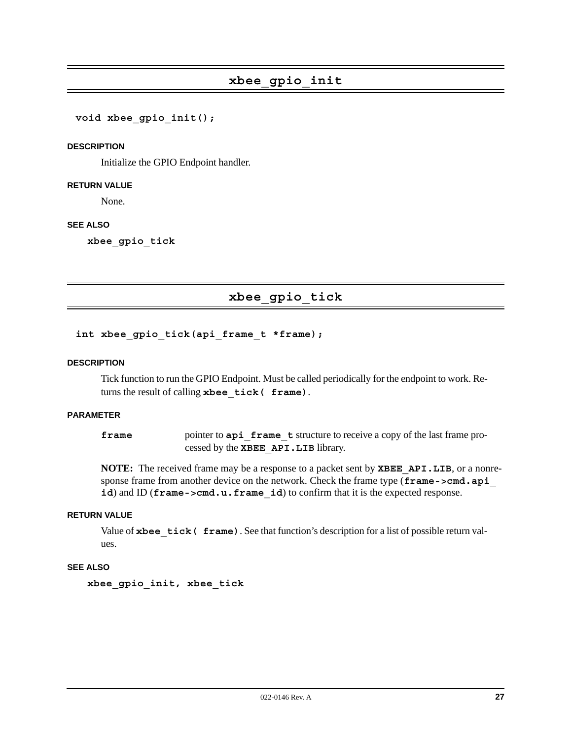**void xbee\_gpio\_init();**

#### **DESCRIPTION**

Initialize the GPIO Endpoint handler.

#### **RETURN VALUE**

None.

#### **SEE ALSO**

**xbee\_gpio\_tick**

## **xbee\_gpio\_tick**

## int xbee gpio tick(api frame t \*frame);

#### **DESCRIPTION**

Tick function to run the GPIO Endpoint. Must be called periodically for the endpoint to work. Returns the result of calling **xbee\_tick( frame)**.

#### **PARAMETER**

**frame** pointer to **api frame t** structure to receive a copy of the last frame processed by the **XBEE\_API.LIB** library.

**NOTE:** The received frame may be a response to a packet sent by **XBEE\_API.LIB**, or a nonresponse frame from another device on the network. Check the frame type (**frame->cmd.api** id) and ID (**frame->cmd.u.frame** id) to confirm that it is the expected response.

## **RETURN VALUE**

Value of **xbee** tick ( frame). See that function's description for a list of possible return values.

#### **SEE ALSO**

**xbee\_gpio\_init, xbee\_tick**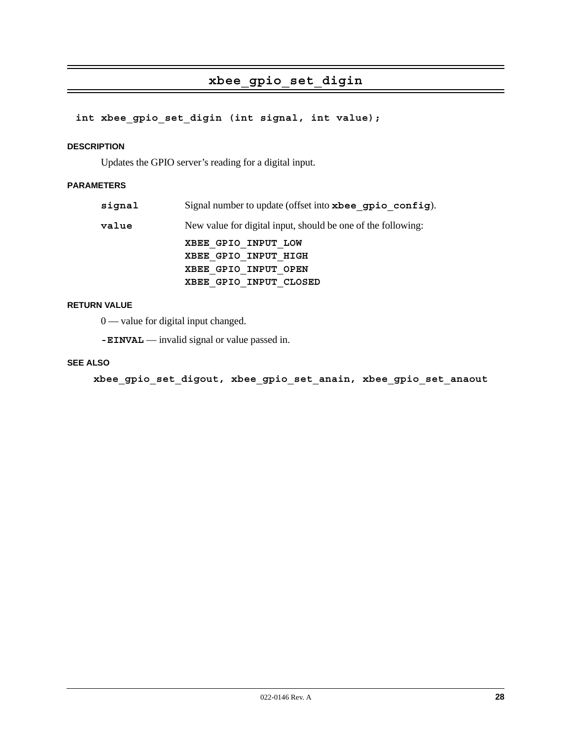# **xbee\_gpio\_set\_digin**

## **int xbee\_gpio\_set\_digin (int signal, int value);**

#### **DESCRIPTION**

Updates the GPIO server's reading for a digital input.

## **PARAMETERS**

| signal | Signal number to update (offset into xbee gpio config).      |
|--------|--------------------------------------------------------------|
| value  | New value for digital input, should be one of the following: |
|        | XBEE GPIO INPUT LOW                                          |
|        | XBEE GPIO INPUT HIGH                                         |
|        | XBEE GPIO INPUT OPEN                                         |
|        | XBEE GPIO INPUT CLOSED                                       |

## **RETURN VALUE**

0 — value for digital input changed.

**-EINVAL** — invalid signal or value passed in.

#### **SEE ALSO**

 **xbee\_gpio\_set\_digout, xbee\_gpio\_set\_anain, xbee\_gpio\_set\_anaout**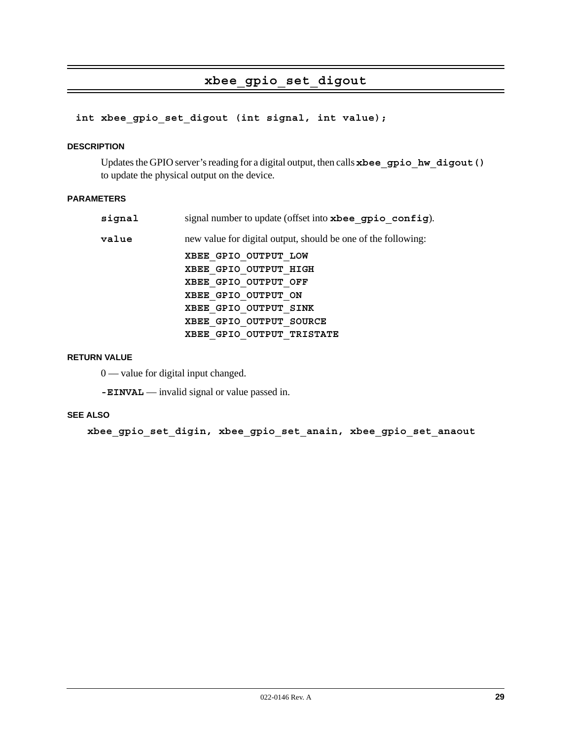# **xbee\_gpio\_set\_digout**

**int xbee\_gpio\_set\_digout (int signal, int value);**

#### **DESCRIPTION**

Updates the GPIO server's reading for a digital output, then calls **xbee\_gpio\_hw\_digout()** to update the physical output on the device.

#### **PARAMETERS**

| signal | signal number to update (offset into xbee gpio config).       |
|--------|---------------------------------------------------------------|
| value  | new value for digital output, should be one of the following: |
|        | XBEE GPIO OUTPUT LOW                                          |
|        | XBEE GPIO OUTPUT HIGH                                         |
|        | XBEE GPIO OUTPUT OFF                                          |
|        | XBEE GPIO OUTPUT ON                                           |
|        | XBEE GPIO OUTPUT SINK                                         |
|        | XBEE GPIO OUTPUT SOURCE                                       |
|        | XBEE GPIO OUTPUT TRISTATE                                     |

#### **RETURN VALUE**

0 — value for digital input changed.

**-EINVAL** — invalid signal or value passed in.

#### **SEE ALSO**

**xbee\_gpio\_set\_digin, xbee\_gpio\_set\_anain, xbee\_gpio\_set\_anaout**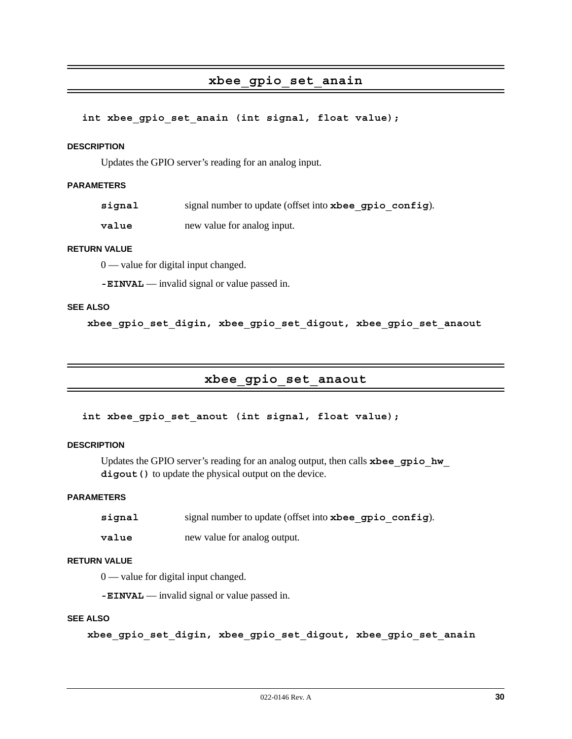## **xbee\_gpio\_set\_anain**

#### int xbee gpio set anain (int signal, float value);

#### **DESCRIPTION**

Updates the GPIO server's reading for an analog input.

#### **PARAMETERS**

**signal** signal number to update (offset into **xbee\_gpio\_config**).

**value** new value for analog input.

#### **RETURN VALUE**

0 — value for digital input changed.

**-EINVAL** — invalid signal or value passed in.

## **SEE ALSO**

**xbee\_gpio\_set\_digin, xbee\_gpio\_set\_digout, xbee\_gpio\_set\_anaout**

## **xbee\_gpio\_set\_anaout**

int xbee gpio set anout (int signal, float value);

#### **DESCRIPTION**

Updates the GPIO server's reading for an analog output, then calls **xbee\_gpio\_hw\_** digout () to update the physical output on the device.

#### **PARAMETERS**

| signal | signal number to update (offset into xbee gpio config). |
|--------|---------------------------------------------------------|
| value  | new value for analog output.                            |

#### **RETURN VALUE**

0 — value for digital input changed.

**-EINVAL** — invalid signal or value passed in.

## **SEE ALSO**

**xbee\_gpio\_set\_digin, xbee\_gpio\_set\_digout, xbee\_gpio\_set\_anain**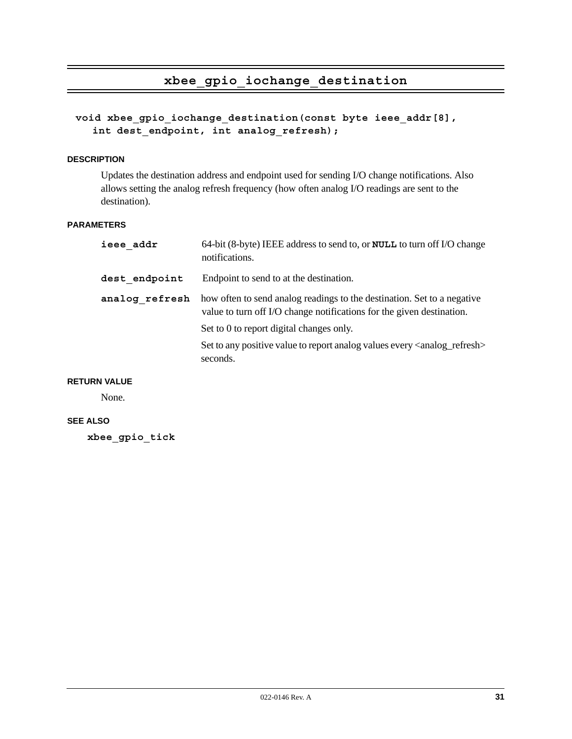## **xbee\_gpio\_iochange\_destination**

**void xbee\_gpio\_iochange\_destination(const byte ieee\_addr[8],**  int dest endpoint, int analog refresh);

#### **DESCRIPTION**

Updates the destination address and endpoint used for sending I/O change notifications. Also allows setting the analog refresh frequency (how often analog I/O readings are sent to the destination).

#### **PARAMETERS**

| ieee addr      | 64-bit (8-byte) IEEE address to send to, or <b>NULL</b> to turn off I/O change<br>notifications.                                                 |
|----------------|--------------------------------------------------------------------------------------------------------------------------------------------------|
| dest endpoint  | Endpoint to send to at the destination.                                                                                                          |
| analog refresh | how often to send analog readings to the destination. Set to a negative<br>value to turn off I/O change notifications for the given destination. |
|                | Set to 0 to report digital changes only.                                                                                                         |
|                | Set to any positive value to report analog values every <analog_refresh><br/>seconds.</analog_refresh>                                           |

### **RETURN VALUE**

None.

## **SEE ALSO**

**xbee\_gpio\_tick**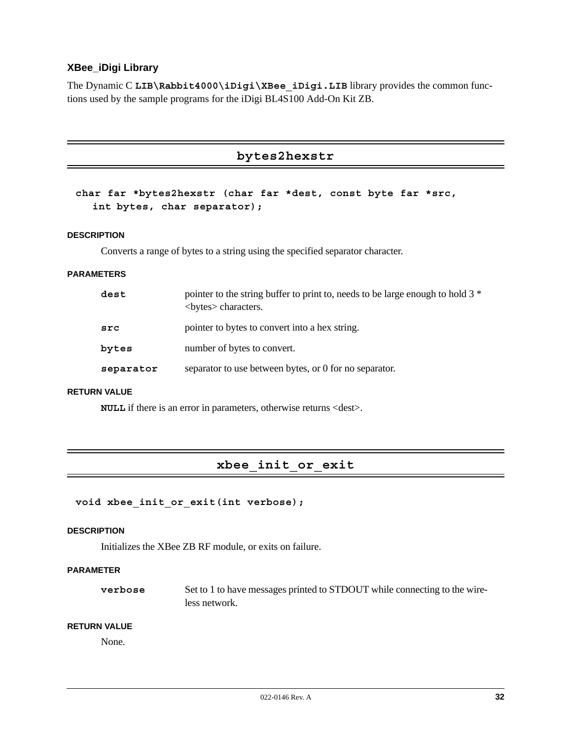## **XBee\_iDigi Library**

The Dynamic C LIB\Rabbit4000\iDigi\XBee iDigi.LIB library provides the common functions used by the sample programs for the iDigi BL4S100 Add-On Kit ZB.

```
bytes2hexstr
```

```
char far *bytes2hexstr (char far *dest, const byte far *src, 
  int bytes, char separator);
```
#### **DESCRIPTION**

Converts a range of bytes to a string using the specified separator character.

#### **PARAMETERS**

| dest      | pointer to the string buffer to print to, needs to be large enough to hold 3 <sup>*</sup><br><br>sete<br>sete<br>sete<br> |  |
|-----------|---------------------------------------------------------------------------------------------------------------------------|--|
| src       | pointer to bytes to convert into a hex string.                                                                            |  |
| bytes     | number of bytes to convert.                                                                                               |  |
| separator | separator to use between bytes, or 0 for no separator.                                                                    |  |

## **RETURN VALUE**

**NULL** if there is an error in parameters, otherwise returns <dest>.

## **xbee\_init\_or\_exit**

```
void xbee_init_or_exit(int verbose);
```
#### **DESCRIPTION**

Initializes the XBee ZB RF module, or exits on failure.

## **PARAMETER**

**verbose** Set to 1 to have messages printed to STDOUT while connecting to the wireless network.

#### **RETURN VALUE**

None.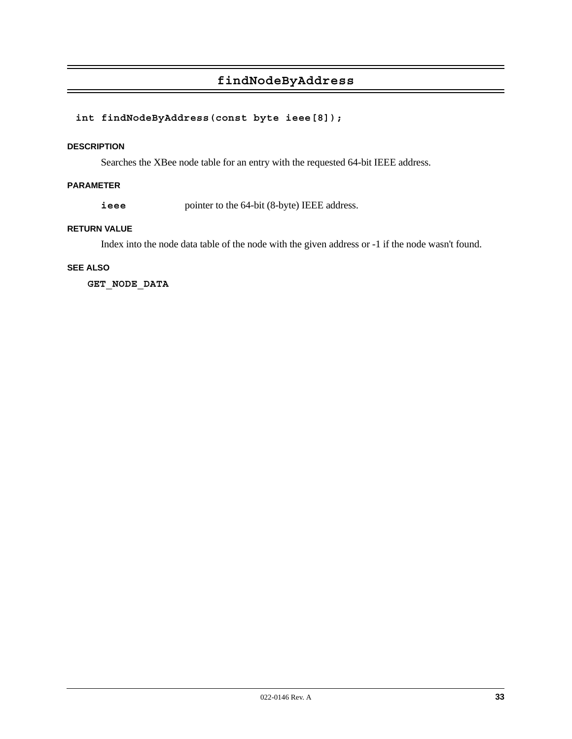# **findNodeByAddress**

## **int findNodeByAddress(const byte ieee[8]);**

#### **DESCRIPTION**

Searches the XBee node table for an entry with the requested 64-bit IEEE address.

## **PARAMETER**

**ieee** pointer to the 64-bit (8-byte) IEEE address.

## **RETURN VALUE**

Index into the node data table of the node with the given address or -1 if the node wasn't found.

## **SEE ALSO**

**GET\_NODE\_DATA**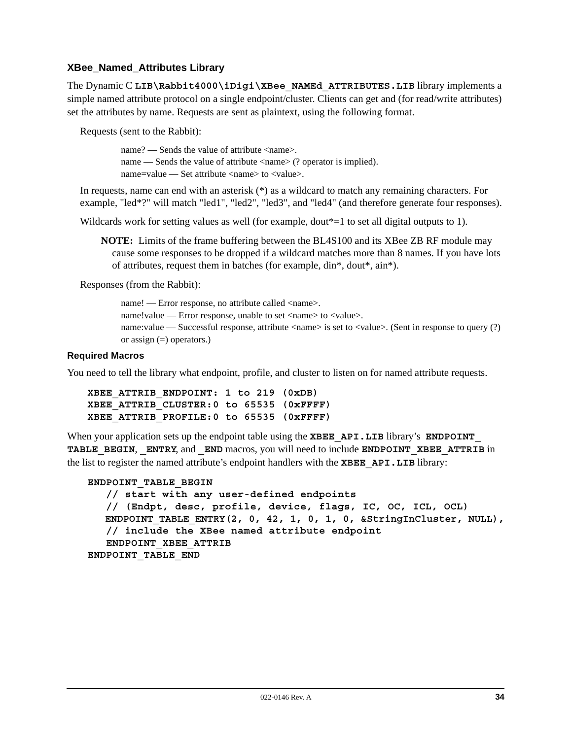## **XBee\_Named\_Attributes Library**

The Dynamic C LIB\Rabbit4000\iDigi\XBee NAMEd ATTRIBUTES.LIB library implements a simple named attribute protocol on a single endpoint/cluster. Clients can get and (for read/write attributes) set the attributes by name. Requests are sent as plaintext, using the following format.

Requests (sent to the Rabbit):

name? — Sends the value of attribute <name>. name — Sends the value of attribute  $\langle$  anne  $\rangle$  (? operator is implied). name=value — Set attribute <name> to <value>.

In requests, name can end with an asterisk (\*) as a wildcard to match any remaining characters. For example, "led\*?" will match "led1", "led2", "led3", and "led4" (and therefore generate four responses).

Wildcards work for setting values as well (for example, dout\*=1 to set all digital outputs to 1).

**NOTE:** Limits of the frame buffering between the BL4S100 and its XBee ZB RF module may cause some responses to be dropped if a wildcard matches more than 8 names. If you have lots of attributes, request them in batches (for example, din\*, dout\*, ain\*).

Responses (from the Rabbit):

name! — Error response, no attribute called <name>. name!value — Error response, unable to set <name> to <value>. name:value — Successful response, attribute  $\langle$ name> is set to  $\langle$ value>. (Sent in response to query (?) or assign  $(=)$  operators.)

## **Required Macros**

You need to tell the library what endpoint, profile, and cluster to listen on for named attribute requests.

```
XBEE_ATTRIB_ENDPOINT: 1 to 219 (0xDB)
XBEE_ATTRIB_CLUSTER:0 to 65535 (0xFFFF)
XBEE_ATTRIB_PROFILE:0 to 65535 (0xFFFF)
```
When your application sets up the endpoint table using the **XBEE** API.LIB library's **ENDPOINT TABLE\_BEGIN**, **\_ENTRY**, and **\_END** macros, you will need to include **ENDPOINT\_XBEE\_ATTRIB** in the list to register the named attribute's endpoint handlers with the **XBEE\_API.LIB** library:

```
ENDPOINT_TABLE_BEGIN
    // start with any user-defined endpoints
    // (Endpt, desc, profile, device, flags, IC, OC, ICL, OCL)
   ENDPOINT_TABLE_ENTRY(2, 0, 42, 1, 0, 1, 0, &StringInCluster, NULL),
    // include the XBee named attribute endpoint
    ENDPOINT_XBEE_ATTRIB
ENDPOINT_TABLE_END
```